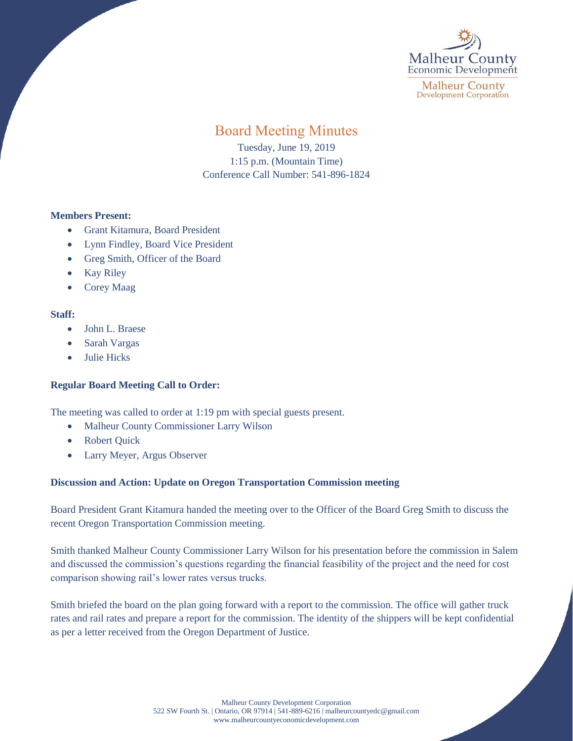

**Malheur County Development Corporation** 

# Board Meeting Minutes

Tuesday, June 19, 2019 1:15 p.m. (Mountain Time) Conference Call Number: 541-896-1824

### **Members Present:**

- Grant Kitamura, Board President
- Lynn Findley, Board Vice President
- Greg Smith, Officer of the Board
- Kay Riley
- Corey Maag

## **Staff:**

- John L. Braese
- Sarah Vargas
- Julie Hicks

## **Regular Board Meeting Call to Order:**

The meeting was called to order at 1:19 pm with special guests present.

- Malheur County Commissioner Larry Wilson
- Robert Quick
- Larry Meyer, Argus Observer

## **Discussion and Action: Update on Oregon Transportation Commission meeting**

Board President Grant Kitamura handed the meeting over to the Officer of the Board Greg Smith to discuss the recent Oregon Transportation Commission meeting.

Smith thanked Malheur County Commissioner Larry Wilson for his presentation before the commission in Salem and discussed the commission's questions regarding the financial feasibility of the project and the need for cost comparison showing rail's lower rates versus trucks.

Smith briefed the board on the plan going forward with a report to the commission. The office will gather truck rates and rail rates and prepare a report for the commission. The identity of the shippers will be kept confidential as per a letter received from the Oregon Department of Justice.